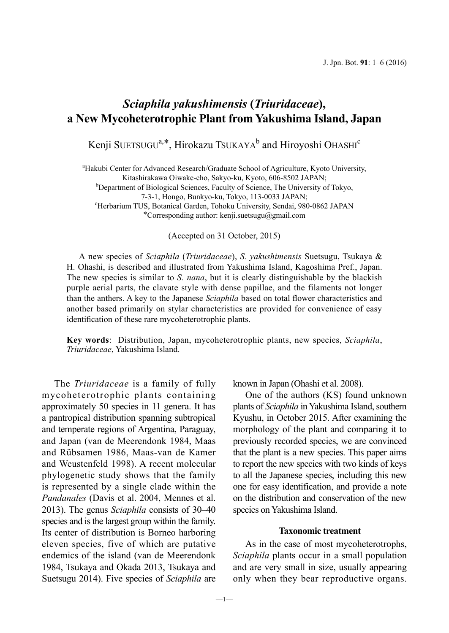## *Sciaphila yakushimensis* **(***Triuridaceae***), a New Mycoheterotrophic Plant from Yakushima Island, Japan**

Kenji SUETSUGU<sup>a,\*</sup>, Hirokazu TSUKAYA<sup>b</sup> and Hiroyoshi OHASHI<sup>c</sup>

<sup>a</sup>Hakubi Center for Advanced Research/Graduate School of Agriculture, Kyoto University, Kitashirakawa Oiwake-cho, Sakyo-ku, Kyoto, 606-8502 JAPAN; <sup>b</sup> <sup>b</sup>Department of Biological Sciences, Faculty of Science, The University of Tokyo, 7-3-1, Hongo, Bunkyo-ku, Tokyo, 113-0033 JAPAN; <sup>c</sup> Herbarium TUS, Botanical Garden, Tohoku University, Sendai, 980-0862 JAPAN

\*Corresponding author: kenji.suetsugu@gmail.com

(Accepted on 31 October, 2015)

A new species of *Sciaphila* (*Triuridaceae*), *S. yakushimensis* Suetsugu, Tsukaya & H. Ohashi, is described and illustrated from Yakushima Island, Kagoshima Pref., Japan. The new species is similar to *S. nana*, but it is clearly distinguishable by the blackish purple aerial parts, the clavate style with dense papillae, and the filaments not longer than the anthers. A key to the Japanese *Sciaphila* based on total flower characteristics and another based primarily on stylar characteristics are provided for convenience of easy identification of these rare mycoheterotrophic plants.

**Key words**: Distribution, Japan, mycoheterotrophic plants, new species, *Sciaphila*, *Triuridaceae*, Yakushima Island.

The *Triuridaceae* is a family of fully mycoheterotrophic plants containing approximately 50 species in 11 genera. It has a pantropical distribution spanning subtropical and temperate regions of Argentina, Paraguay, and Japan (van de Meerendonk 1984, Maas and Rübsamen 1986, Maas-van de Kamer and Weustenfeld 1998). A recent molecular phylogenetic study shows that the family is represented by a single clade within the *Pandanales* (Davis et al. 2004, Mennes et al. 2013). The genus *Sciaphila* consists of 30–40 species and is the largest group within the family. Its center of distribution is Borneo harboring eleven species, five of which are putative endemics of the island (van de Meerendonk 1984, Tsukaya and Okada 2013, Tsukaya and Suetsugu 2014). Five species of *Sciaphila* are

known in Japan (Ohashi et al. 2008).

One of the authors (KS) found unknown plants of *Sciaphila* in Yakushima Island, southern Kyushu, in October 2015. After examining the morphology of the plant and comparing it to previously recorded species, we are convinced that the plant is a new species. This paper aims to report the new species with two kinds of keys to all the Japanese species, including this new one for easy identification, and provide a note on the distribution and conservation of the new species on Yakushima Island.

## **Taxonomic treatment**

As in the case of most mycoheterotrophs, *Sciaphila* plants occur in a small population and are very small in size, usually appearing only when they bear reproductive organs.